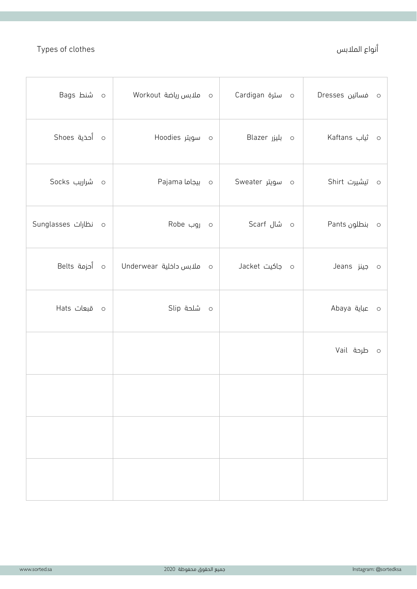## Types of clothes أنواع الملابس

| ہ شنط Bags          |                               |                 | o فساتين Dresses |
|---------------------|-------------------------------|-----------------|------------------|
| o أحذية Shoes       | ہ سویتر Hoodies               | o بلیزر Blazer  | o ثیاب Kaftans   |
| ە شراریب Socks      | o بيجاما Pajama               | ہ سویتر Sweater | ە تىشيرت Shirt   |
| o نظارات Sunglasses | ہ روب Robe                    | ہ شال Scarf     | o بنطلون Pants   |
| o أحزمة Belts       | o     ملابس داخلية  Underwear | ہ جاکیت Jacket  | o جينز Jeans     |
| o قبعات Hats        | ە شلحة Slip                   |                 | Abaya عباية      |
|                     |                               |                 | o طرحة Vail      |
|                     |                               |                 |                  |
|                     |                               |                 |                  |
|                     |                               |                 |                  |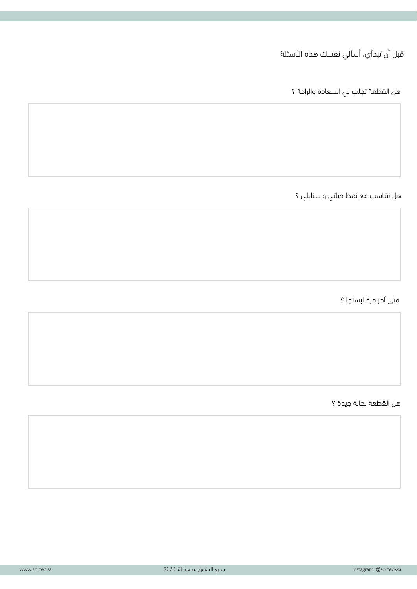قبل أن تبدأي، أسألي نفسك هذه الأسئلة

هل القطعة تجلب لي السعادة والراحة ؟

هل تتناسب مع نمط حياتي و ستايلي ؟

متى آخر مرة لبستها ؟

هل القطعة بحالة جيدة ؟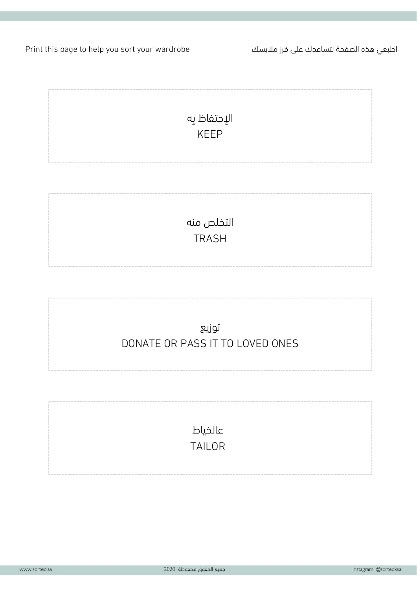Print this page to help you sort your wardrobe كسبلام زرف ىلع كدعاستل ةحفصلا هذه يعبطا



TRASH

توزيع DONATE OR PASS IT TO LOVED ONES

> عالخياط TAILOR